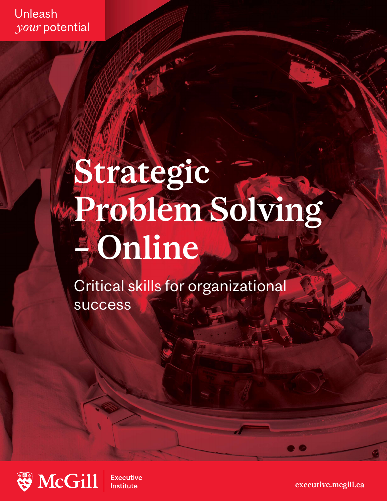Unleash your potential

# Strategic Problem Solving – Online

Critical skills for organizational success



**Executive Institute** 

executive.mcgill.ca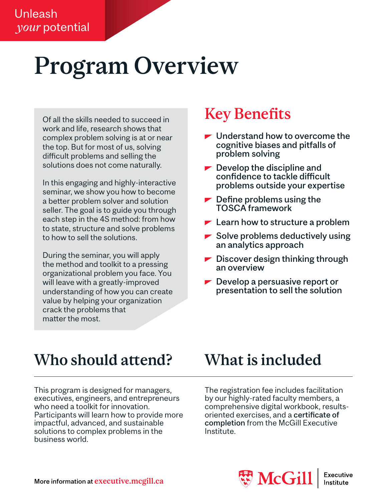## Program Overview

Of all the skills needed to succeed in work and life, research shows that complex problem solving is at or near the top. But for most of us, solving difficult problems and selling the solutions does not come naturally.

In this engaging and highly-interactive seminar, we show you how to become a better problem solver and solution seller. The goal is to guide you through each step in the 4S method: from how to state, structure and solve problems to how to sell the solutions.

During the seminar, you will apply the method and toolkit to a pressing organizational problem you face. You will leave with a greatly-improved understanding of how you can create value by helping your organization crack the problems that matter the most.

### **Key Benefits**

- $\blacktriangleright$  Understand how to overcome the cognitive biases and pitfalls of problem solving
- $\blacktriangleright$  Develop the discipline and confidence to tackle difficult problems outside your expertise
- $\blacktriangleright$  Define problems using the TOSCA framework
- $\blacktriangleright$  Learn how to structure a problem
- $\blacktriangleright$  Solve problems deductively using an analytics approach
- $\blacktriangleright$  Discover design thinking through an overview
- $\blacktriangleright$  Develop a persuasive report or presentation to sell the solution

### Who should attend? What is included

This program is designed for managers, executives, engineers, and entrepreneurs who need a toolkit for innovation. Participants will learn how to provide more impactful, advanced, and sustainable solutions to complex problems in the business world.

The registration fee includes facilitation by our highly-rated faculty members, a comprehensive digital workbook, resultsoriented exercises, and a certificate of completion from the McGill Executive Institute.